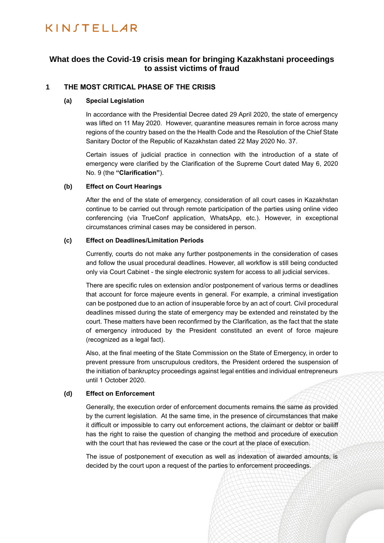## KINSTELLAR

## **What does the Covid-19 crisis mean for bringing Kazakhstani proceedings to assist victims of fraud**

## **1 THE MOST CRITICAL PHASE OF THE CRISIS**

#### **(a) Special Legislation**

In accordance with the Presidential Decree dated 29 April 2020, the state of emergency was lifted on 11 May 2020. However, quarantine measures remain in force across many regions of the country based on the the Health Code and the Resolution of the Chief State Sanitary Doctor of the Republic of Kazakhstan dated 22 May 2020 No. 37.

Certain issues of judicial practice in connection with the introduction of a state of emergency were clarified by the Clarification of the Supreme Court dated May 6, 2020 No. 9 (the **"Clarification"**).

#### **(b) Effect on Court Hearings**

After the end of the state of emergency, consideration of all court cases in Kazakhstan continue to be carried out through remote participation of the parties using online video conferencing (via TrueConf application, WhatsApp, etc.). However, in exceptional circumstances criminal cases may be considered in person.

#### **(c) Effect on Deadlines/Limitation Periods**

Currently, courts do not make any further postponements in the consideration of cases and follow the usual procedural deadlines. However, all workflow is still being conducted only via Court Cabinet - the single electronic system for access to all judicial services.

There are specific rules on extension and/or postponement of various terms or deadlines that account for force majeure events in general. For example, a criminal investigation can be postponed due to an action of insuperable force by an act of court. Civil procedural deadlines missed during the state of emergency may be extended and reinstated by the court. These matters have been reconfirmed by the Clarification, as the fact that the state of emergency introduced by the President constituted an event of force majeure (recognized as a legal fact).

Also, at the final meeting of the State Commission on the State of Emergency, in order to prevent pressure from unscrupulous creditors, the President ordered the suspension of the initiation of bankruptcy proceedings against legal entities and individual entrepreneurs until 1 October 2020.

#### **(d) Effect on Enforcement**

Generally, the execution order of enforcement documents remains the same as provided by the current legislation. At the same time, in the presence of circumstances that make it difficult or impossible to carry out enforcement actions, the claimant or debtor or bailiff has the right to raise the question of changing the method and procedure of execution with the court that has reviewed the case or the court at the place of execution.

The issue of postponement of execution as well as indexation of awarded amounts, is decided by the court upon a request of the parties to enforcement proceedings.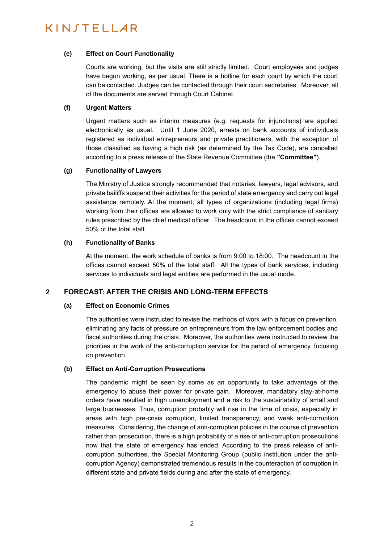## KINSTELLAR

#### **(e) Effect on Court Functionality**

Courts are working, but the visits are still strictly limited. Court employees and judges have begun working, as per usual. There is a hotline for each court by which the court can be contacted. Judges can be contacted through their court secretaries. Moreover, all of the documents are served through Court Cabinet.

#### **(f) Urgent Matters**

Urgent matters such as interim measures (e.g. requests for injunctions) are applied electronically as usual. Until 1 June 2020, arrests on bank accounts of individuals registered as individual entrepreneurs and private practitioners, with the exception of those classified as having a high risk (as determined by the Tax Code), are cancelled according to a press release of the State Revenue Committee (the **"Committee"**).

#### **(g) Functionality of Lawyers**

The Ministry of Justice strongly recommended that notaries, lawyers, legal advisors, and private bailiffs suspend their activities for the period of state emergency and carry out legal assistance remotely. At the moment, all types of organizations (including legal firms) working from their offices are allowed to work only with the strict compliance of sanitary rules prescribed by the chief medical officer. The headcount in the offices cannot exceed 50% of the total staff.

#### **(h) Functionality of Banks**

At the moment, the work schedule of banks is from 9:00 to 18:00. The headcount in the offices cannot exceed 50% of the total staff. All the types of bank services, including services to individuals and legal entities are performed in the usual mode.

### **2 FORECAST: AFTER THE CRISIS AND LONG-TERM EFFECTS**

### **(a) Effect on Economic Crimes**

The authorities were instructed to revise the methods of work with a focus on prevention, eliminating any facts of pressure on entrepreneurs from the law enforcement bodies and fiscal authorities during the crisis. Moreover, the authorities were instructed to review the priorities in the work of the anti-corruption service for the period of emergency, focusing on prevention.

#### **(b) Effect on Anti-Corruption Prosecutions**

The pandemic might be seen by some as an opportunity to take advantage of the emergency to abuse their power for private gain. Moreover, mandatory stay-at-home orders have resulted in high unemployment and a risk to the sustainability of small and large businesses. Thus, corruption probably will rise in the time of crisis, especially in areas with high pre-crisis corruption, limited transparency, and weak anti-corruption measures. Considering, the change of anti-corruption policies in the course of prevention rather than prosecution, there is a high probability of a rise of anti-corruption prosecutions now that the state of emergency has ended. According to the press release of anticorruption authorities, the Special Monitoring Group (public institution under the anticorruption Agency) demonstrated tremendous results in the counteraction of corruption in different state and private fields during and after the state of emergency.